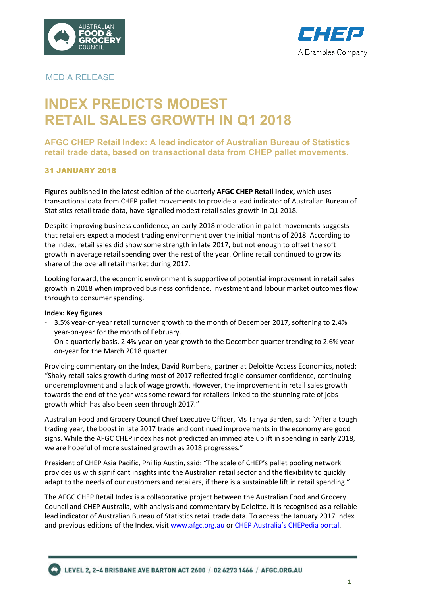



# MEDIA RELEASE

# **INDEX PREDICTS MODEST RETAIL SALES GROWTH IN Q1 2018**

# **AFGC CHEP Retail Index: A lead indicator of Australian Bureau of Statistics retail trade data, based on transactional data from CHEP pallet movements.**

# 31 JANUARY 2018

Figures published in the latest edition of the quarterly **AFGC CHEP Retail Index,** which uses transactional data from CHEP pallet movements to provide a lead indicator of Australian Bureau of Statistics retail trade data, have signalled modest retail sales growth in Q1 2018.

Despite improving business confidence, an early-2018 moderation in pallet movements suggests that retailers expect a modest trading environment over the initial months of 2018. According to the Index, retail sales did show some strength in late 2017, but not enough to offset the soft growth in average retail spending over the rest of the year. Online retail continued to grow its share of the overall retail market during 2017.

Looking forward, the economic environment is supportive of potential improvement in retail sales growth in 2018 when improved business confidence, investment and labour market outcomes flow through to consumer spending.

## **Index: Key figures**

- 3.5% year-on-year retail turnover growth to the month of December 2017, softening to 2.4% year-on-year for the month of February.
- On a quarterly basis, 2.4% year-on-year growth to the December quarter trending to 2.6% yearon-year for the March 2018 quarter.

Providing commentary on the Index, David Rumbens, partner at Deloitte Access Economics, noted: "Shaky retail sales growth during most of 2017 reflected fragile consumer confidence, continuing underemployment and a lack of wage growth. However, the improvement in retail sales growth towards the end of the year was some reward for retailers linked to the stunning rate of jobs growth which has also been seen through 2017."

Australian Food and Grocery Council Chief Executive Officer, Ms Tanya Barden, said: "After a tough trading year, the boost in late 2017 trade and continued improvements in the economy are good signs. While the AFGC CHEP index has not predicted an immediate uplift in spending in early 2018, we are hopeful of more sustained growth as 2018 progresses."

President of CHEP Asia Pacific, Phillip Austin, said: "The scale of CHEP's pallet pooling network provides us with significant insights into the Australian retail sector and the flexibility to quickly adapt to the needs of our customers and retailers, if there is a sustainable lift in retail spending."

The AFGC CHEP Retail Index is a collaborative project between the Australian Food and Grocery Council and CHEP Australia, with analysis and commentary by Deloitte. It is recognised as a reliable lead indicator of Australian Bureau of Statistics retail trade data. To access the January 2017 Index and previous editions of the Index, visit www.afgc.org.au or CHEP Australia's CHEPedia portal.